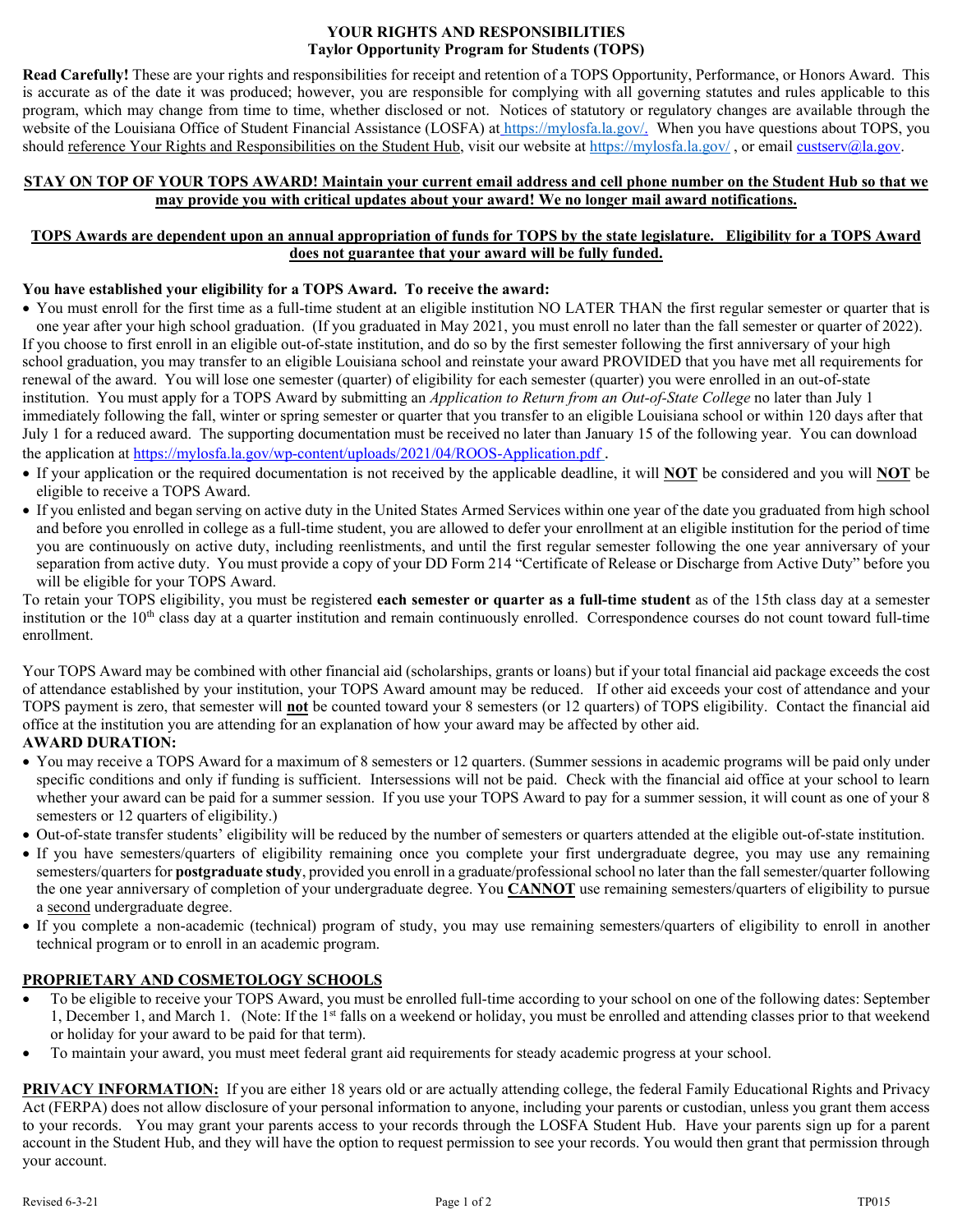#### **YOUR RIGHTS AND RESPONSIBILITIES Taylor Opportunity Program for Students (TOPS)**

**Read Carefully!** These are your rights and responsibilities for receipt and retention of a TOPS Opportunity, Performance, or Honors Award. This is accurate as of the date it was produced; however, you are responsible for complying with all governing statutes and rules applicable to this program, which may change from time to time, whether disclosed or not. Notices of statutory or regulatory changes are available through the website of the Louisiana Office of Student Financial Assistance (LOSFA) at [https://mylosfa.la.gov/.](https://mylosfa.la.gov/) When you have questions about TOPS, you should reference Your Rights and Responsibilities on the Student Hub, visit our website at <https://mylosfa.la.gov/>, or email [custserv@la.gov.](mailto:custserv@la.gov)

#### **STAY ON TOP OF YOUR TOPS AWARD! Maintain your current email address and cell phone number on the Student Hub so that we may provide you with critical updates about your award! We no longer mail award notifications.**

### **TOPS Awards are dependent upon an annual appropriation of funds for TOPS by the state legislature. Eligibility for a TOPS Award does not guarantee that your award will be fully funded.**

#### **You have established your eligibility for a TOPS Award. To receive the award:**

- You must enroll for the first time as a full-time student at an eligible institution NO LATER THAN the first regular semester or quarter that is one year after your high school graduation. (If you graduated in May 2021, you must enroll no later than the fall semester or quarter of 2022). If you choose to first enroll in an eligible out-of-state institution, and do so by the first semester following the first anniversary of your high school graduation, you may transfer to an eligible Louisiana school and reinstate your award PROVIDED that you have met all requirements for renewal of the award. You will lose one semester (quarter) of eligibility for each semester (quarter) you were enrolled in an out-of-state institution. You must apply for a TOPS Award by submitting an *Application to Return from an Out-of-State College* no later than July 1 immediately following the fall, winter or spring semester or quarter that you transfer to an eligible Louisiana school or within 120 days after that July 1 for a reduced award. The supporting documentation must be received no later than January 15 of the following year. You can download the application at <https://mylosfa.la.gov/wp-content/uploads/2021/04/ROOS-Application.pdf>.
- If your application or the required documentation is not received by the applicable deadline, it will **NOT** be considered and you will **NOT** be eligible to receive a TOPS Award.
- If you enlisted and began serving on active duty in the United States Armed Services within one year of the date you graduated from high school and before you enrolled in college as a full-time student, you are allowed to defer your enrollment at an eligible institution for the period of time you are continuously on active duty, including reenlistments, and until the first regular semester following the one year anniversary of your separation from active duty. You must provide a copy of your DD Form 214 "Certificate of Release or Discharge from Active Duty" before you will be eligible for your TOPS Award.

To retain your TOPS eligibility, you must be registered **each semester or quarter as a full-time student** as of the 15th class day at a semester institution or the  $10<sup>th</sup>$  class day at a quarter institution and remain continuously enrolled. Correspondence courses do not count toward full-time enrollment.

Your TOPS Award may be combined with other financial aid (scholarships, grants or loans) but if your total financial aid package exceeds the cost of attendance established by your institution, your TOPS Award amount may be reduced. If other aid exceeds your cost of attendance and your TOPS payment is zero, that semester will **not** be counted toward your 8 semesters (or 12 quarters) of TOPS eligibility. Contact the financial aid office at the institution you are attending for an explanation of how your award may be affected by other aid.

## **AWARD DURATION:**

- You may receive a TOPS Award for a maximum of 8 semesters or 12 quarters. (Summer sessions in academic programs will be paid only under specific conditions and only if funding is sufficient. Intersessions will not be paid. Check with the financial aid office at your school to learn whether your award can be paid for a summer session. If you use your TOPS Award to pay for a summer session, it will count as one of your 8 semesters or 12 quarters of eligibility.)
- Out-of-state transfer students' eligibility will be reduced by the number of semesters or quarters attended at the eligible out-of-state institution.
- If you have semesters/quarters of eligibility remaining once you complete your first undergraduate degree, you may use any remaining semesters/quarters for **postgraduate study**, provided you enroll in a graduate/professional school no later than the fall semester/quarter following the one year anniversary of completion of your undergraduate degree. You **CANNOT** use remaining semesters/quarters of eligibility to pursue a second undergraduate degree.
- If you complete a non-academic (technical) program of study, you may use remaining semesters/quarters of eligibility to enroll in another technical program or to enroll in an academic program.

## **PROPRIETARY AND COSMETOLOGY SCHOOLS**

- To be eligible to receive your TOPS Award, you must be enrolled full-time according to your school on one of the following dates: September 1, December 1, and March 1. (Note: If the 1<sup>st</sup> falls on a weekend or holiday, you must be enrolled and attending classes prior to that weekend or holiday for your award to be paid for that term).
- To maintain your award, you must meet federal grant aid requirements for steady academic progress at your school.

**PRIVACY INFORMATION:** If you are either 18 years old or are actually attending college, the federal Family Educational Rights and Privacy Act (FERPA) does not allow disclosure of your personal information to anyone, including your parents or custodian, unless you grant them access to your records. You may grant your parents access to your records through the LOSFA Student Hub. Have your parents sign up for a parent account in the Student Hub, and they will have the option to request permission to see your records. You would then grant that permission through your account.